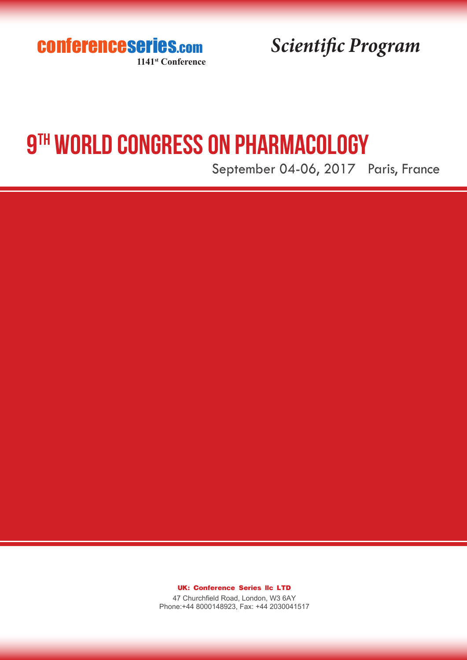conferenceseries.com **1141st Conference**

*Scientific Program*

# **9TH WORLD CONGRESS ON PHARMACOLOGY**

September 04-06, 2017 Paris, France

**UK: Conference Series llc LTD**

47 Churchfield Road, London, W3 6AY Phone:+44 8000148923, Fax: +44 2030041517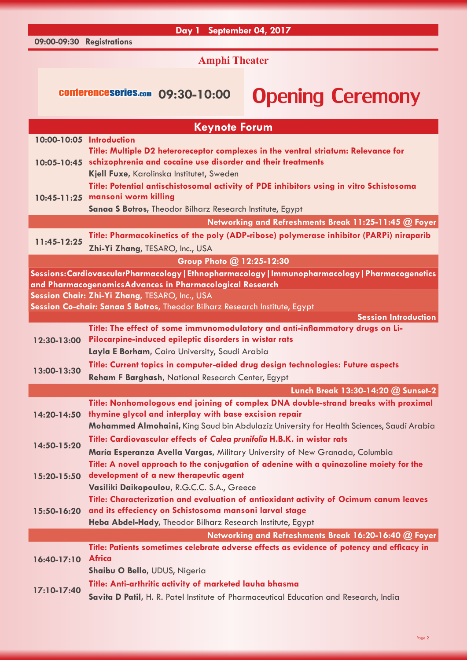### **09:00-09:30 Registrations**

**Day 1 September 04, 2017**

**Amphi Theater**

## conferenceseries.com 09:30-10:00 Opening Ceremony

| <b>Keynote Forum</b>                                                                             |                                                                                                                               |  |
|--------------------------------------------------------------------------------------------------|-------------------------------------------------------------------------------------------------------------------------------|--|
| 10:00-10:05 Introduction                                                                         |                                                                                                                               |  |
|                                                                                                  | Title: Multiple D2 heteroreceptor complexes in the ventral striatum: Relevance for                                            |  |
|                                                                                                  | 10:05-10:45 schizophrenia and cocaine use disorder and their treatments                                                       |  |
|                                                                                                  | Kjell Fuxe, Karolinska Institutet, Sweden                                                                                     |  |
|                                                                                                  | Title: Potential antischistosomal activity of PDE inhibitors using in vitro Schistosoma                                       |  |
|                                                                                                  | 10:45-11:25 mansoni worm killing                                                                                              |  |
|                                                                                                  | Sanaa S Botros, Theodor Bilharz Research Institute, Egypt                                                                     |  |
|                                                                                                  | Networking and Refreshments Break 11:25-11:45 @ Foyer                                                                         |  |
| 11:45-12:25                                                                                      | Title: Pharmacokinetics of the poly (ADP-ribose) polymerase inhibitor (PARPi) niraparib                                       |  |
|                                                                                                  | Zhi-Yi Zhang, TESARO, Inc., USA                                                                                               |  |
| Group Photo @ 12:25-12:30                                                                        |                                                                                                                               |  |
| Sessions: CardiovascularPharmacology   Ethnopharmacology   Immunopharmacology   Pharmacogenetics |                                                                                                                               |  |
|                                                                                                  | and PharmacogenomicsAdvances in Pharmacological Research                                                                      |  |
|                                                                                                  | Session Chair: Zhi-Yi Zhang, TESARO, Inc., USA<br>Session Co-chair: Sanaa S Botros, Theodor Bilharz Research Institute, Egypt |  |
|                                                                                                  | <b>Session Introduction</b>                                                                                                   |  |
|                                                                                                  | Title: The effect of some immunomodulatory and anti-inflammatory drugs on Li-                                                 |  |
| 12:30-13:00                                                                                      | Pilocarpine-induced epileptic disorders in wistar rats                                                                        |  |
|                                                                                                  | Layla E Borham, Cairo University, Saudi Arabia                                                                                |  |
| 13:00-13:30                                                                                      | Title: Current topics in computer-aided drug design technologies: Future aspects                                              |  |
|                                                                                                  | Reham F Barghash, National Research Center, Egypt                                                                             |  |
|                                                                                                  | Lunch Break 13:30-14:20 @ Sunset-2                                                                                            |  |
| 14:20-14:50                                                                                      | Title: Nonhomologous end joining of complex DNA double-strand breaks with proximal                                            |  |
|                                                                                                  | thymine glycol and interplay with base excision repair                                                                        |  |
|                                                                                                  | Mohammed Almohaini, King Saud bin Abdulaziz University for Health Sciences, Saudi Arabia                                      |  |
| 14:50-15:20                                                                                      | Title: Cardiovascular effects of Calea prunifolia H.B.K. in wistar rats                                                       |  |
|                                                                                                  | María Esperanza Avella Vargas, Military University of New Granada, Columbia                                                   |  |
|                                                                                                  | Title: A novel approach to the conjugation of adenine with a quinazoline moiety for the                                       |  |
| 15:20-15:50                                                                                      | development of a new therapeutic agent                                                                                        |  |
|                                                                                                  | Vasiliki Daikopoulou, R.G.C.C. S.A., Greece                                                                                   |  |
|                                                                                                  | Title: Characterization and evaluation of antioxidant activity of Ocimum canum leaves                                         |  |
| 15:50-16:20                                                                                      | and its effeciency on Schistosoma mansoni larval stage                                                                        |  |
|                                                                                                  | Heba Abdel-Hady, Theodor Bilharz Research Institute, Egypt                                                                    |  |
|                                                                                                  | Networking and Refreshments Break 16:20-16:40 @ Foyer                                                                         |  |
| 16:40-17:10                                                                                      | Title: Patients sometimes celebrate adverse effects as evidence of potency and efficacy in                                    |  |
|                                                                                                  | <b>Africa</b>                                                                                                                 |  |
|                                                                                                  | Shaibu O Bello, UDUS, Nigeria                                                                                                 |  |
| 17:10-17:40                                                                                      | Title: Anti-arthritic activity of marketed lauha bhasma                                                                       |  |
|                                                                                                  | Savita D Patil, H. R. Patel Institute of Pharmaceutical Education and Research, India                                         |  |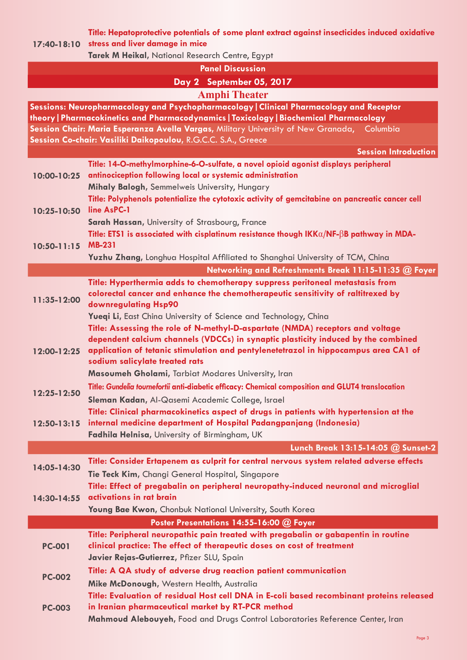**Title: Hepatoprotective potentials of some plant extract against insecticides induced oxidative** 

**17:40-18:10 stress and liver damage in mice**

**Tarek M Heikal,** National Research Centre, Egypt

**Panel Discussion**

## **Day 2 September 05, 2017 Amphi Theater**

**Sessions: Neuropharmacology and Psychopharmacology|Clinical Pharmacology and Receptor theory|Pharmacokinetics and Pharmacodynamics|Toxicology|Biochemical Pharmacology Session Chair: Maria Esperanza Avella Vargas,** Military University of New Granada, Columbia **Session Co-chair: Vasiliki Daikopoulou,** R.G.C.C. S.A., Greece

**Session Introduction**

|                 | <b>Session Introduction</b>                                                                                                                                                                                                                                                                  |
|-----------------|----------------------------------------------------------------------------------------------------------------------------------------------------------------------------------------------------------------------------------------------------------------------------------------------|
| 10:00-10:25     | Title: 14-O-methylmorphine-6-O-sulfate, a novel opioid agonist displays peripheral<br>antinociception following local or systemic administration                                                                                                                                             |
| 10:25-10:50     | Mihaly Balogh, Semmelweis University, Hungary<br>Title: Polyphenols potentialize the cytotoxic activity of gemcitabine on pancreatic cancer cell                                                                                                                                             |
|                 | line AsPC-1<br><b>Sarah Hassan, University of Strasbourg, France</b>                                                                                                                                                                                                                         |
| $10:50 - 11:15$ | Title: ETS1 is associated with cisplatinum resistance though $IKK\alpha/NF$ - $\beta B$ pathway in MDA-<br><b>MB-231</b>                                                                                                                                                                     |
|                 | Yuzhu Zhang, Longhua Hospital Affiliated to Shanghai University of TCM, China                                                                                                                                                                                                                |
|                 | Networking and Refreshments Break 11:15-11:35 @ Foyer                                                                                                                                                                                                                                        |
| 11:35-12:00     | Title: Hyperthermia adds to chemotherapy suppress peritoneal metastasis from<br>colorectal cancer and enhance the chemotherapeutic sensitivity of raltitrexed by<br>downregulating Hsp90                                                                                                     |
|                 | Yuegi Li, East China University of Science and Technology, China                                                                                                                                                                                                                             |
| 12:00-12:25     | Title: Assessing the role of N-methyl-D-aspartate (NMDA) receptors and voltage<br>dependent calcium channels (VDCCs) in synaptic plasticity induced by the combined<br>application of tetanic stimulation and pentylenetetrazol in hippocampus area CA1 of<br>sodium salicylate treated rats |
|                 | Masoumeh Gholami, Tarbiat Modares University, Iran                                                                                                                                                                                                                                           |
| 12:25-12:50     | Title: Gundelia tournefortii anti-diabetic efficacy: Chemical composition and GLUT4 translocation<br>Sleman Kadan, Al-Qasemi Academic College, Israel                                                                                                                                        |
| $12:50 - 13:15$ | Title: Clinical pharmacokinetics aspect of drugs in patients with hypertension at the<br>internal medicine department of Hospital Padangpanjang (Indonesia)                                                                                                                                  |
|                 | Fadhila Helnisa, University of Birmingham, UK                                                                                                                                                                                                                                                |
|                 | Lunch Break 13:15-14:05 @ Sunset-2                                                                                                                                                                                                                                                           |
|                 | Title: Consider Ertapenem as culprit for central nervous system related adverse effects                                                                                                                                                                                                      |
| 14:05-14:30     | Tie Teck Kim, Changi General Hospital, Singapore                                                                                                                                                                                                                                             |
|                 | Title: Effect of pregabalin on peripheral neuropathy-induced neuronal and microglial                                                                                                                                                                                                         |
| 14:30-14:55     | activations in rat brain                                                                                                                                                                                                                                                                     |
|                 | Young Bae Kwon, Chonbuk National University, South Korea                                                                                                                                                                                                                                     |
|                 | Poster Presentations 14:55-16:00 @ Foyer                                                                                                                                                                                                                                                     |
| <b>PC-001</b>   | Title: Peripheral neuropathic pain treated with pregabalin or gabapentin in routine                                                                                                                                                                                                          |
|                 | clinical practice: The effect of therapeutic doses on cost of treatment                                                                                                                                                                                                                      |
|                 | Javier Rejas-Gutierrez, Pfizer SLU, Spain                                                                                                                                                                                                                                                    |
| <b>PC-002</b>   | Title: A QA study of adverse drug reaction patient communication                                                                                                                                                                                                                             |
|                 | Mike McDonough, Western Health, Australia                                                                                                                                                                                                                                                    |
| <b>PC-003</b>   | Title: Evaluation of residual Host cell DNA in E-coli based recombinant proteins released                                                                                                                                                                                                    |
|                 | in Iranian pharmaceutical market by RT-PCR method                                                                                                                                                                                                                                            |
|                 | Mahmoud Alebouyeh, Food and Drugs Control Laboratories Reference Center, Iran                                                                                                                                                                                                                |